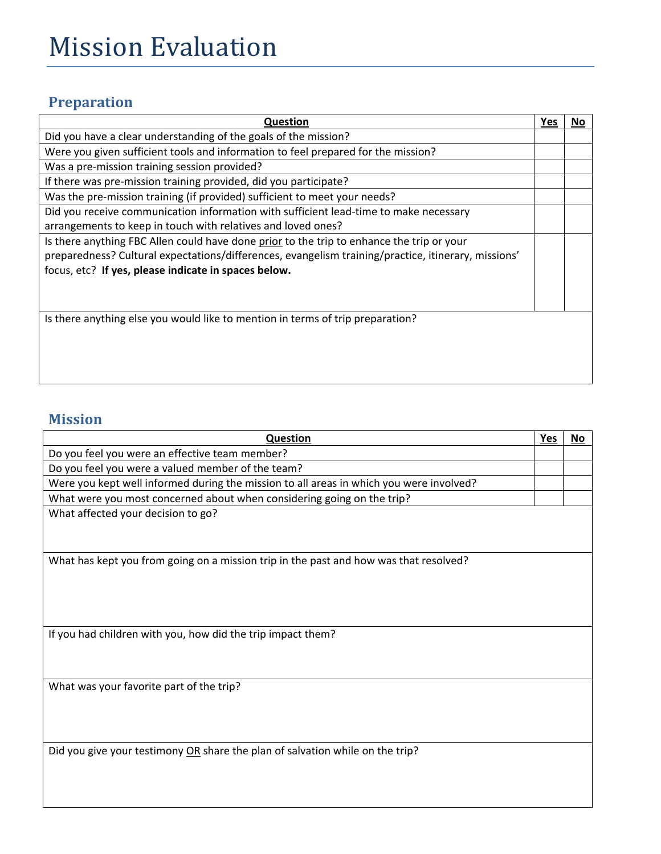## Mission Evaluation

## **Preparation**

| <b>Question</b>                                                                                     | Yes | No |
|-----------------------------------------------------------------------------------------------------|-----|----|
| Did you have a clear understanding of the goals of the mission?                                     |     |    |
| Were you given sufficient tools and information to feel prepared for the mission?                   |     |    |
| Was a pre-mission training session provided?                                                        |     |    |
| If there was pre-mission training provided, did you participate?                                    |     |    |
| Was the pre-mission training (if provided) sufficient to meet your needs?                           |     |    |
| Did you receive communication information with sufficient lead-time to make necessary               |     |    |
| arrangements to keep in touch with relatives and loved ones?                                        |     |    |
| Is there anything FBC Allen could have done prior to the trip to enhance the trip or your           |     |    |
| preparedness? Cultural expectations/differences, evangelism training/practice, itinerary, missions' |     |    |
| focus, etc? If yes, please indicate in spaces below.                                                |     |    |
|                                                                                                     |     |    |
|                                                                                                     |     |    |
| Is there anything else you would like to mention in terms of trip preparation?                      |     |    |
|                                                                                                     |     |    |
|                                                                                                     |     |    |
|                                                                                                     |     |    |
|                                                                                                     |     |    |

## **Mission**

| Question                                                                                | Yes | No |
|-----------------------------------------------------------------------------------------|-----|----|
| Do you feel you were an effective team member?                                          |     |    |
| Do you feel you were a valued member of the team?                                       |     |    |
| Were you kept well informed during the mission to all areas in which you were involved? |     |    |
| What were you most concerned about when considering going on the trip?                  |     |    |
| What affected your decision to go?                                                      |     |    |
|                                                                                         |     |    |
| What has kept you from going on a mission trip in the past and how was that resolved?   |     |    |
|                                                                                         |     |    |
|                                                                                         |     |    |
|                                                                                         |     |    |
| If you had children with you, how did the trip impact them?                             |     |    |
|                                                                                         |     |    |
|                                                                                         |     |    |
| What was your favorite part of the trip?                                                |     |    |
|                                                                                         |     |    |
|                                                                                         |     |    |
|                                                                                         |     |    |
| Did you give your testimony OR share the plan of salvation while on the trip?           |     |    |
|                                                                                         |     |    |
|                                                                                         |     |    |
|                                                                                         |     |    |